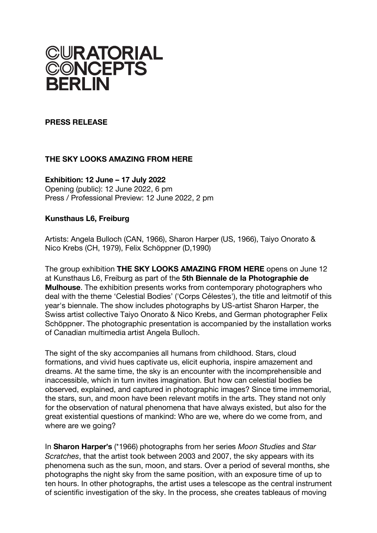

### **PRESS RELEASE**

# **THE SKY LOOKS AMAZING FROM HERE**

### **Exhibition: 12 June – 17 July 2022**

Opening (public): 12 June 2022, 6 pm Press / Professional Preview: 12 June 2022, 2 pm

## **Kunsthaus L6, Freiburg**

Artists: Angela Bulloch (CAN, 1966), Sharon Harper (US, 1966), Taiyo Onorato & Nico Krebs (CH, 1979), Felix Schöppner (D,1990)

The group exhibition **THE SKY LOOKS AMAZING FROM HERE** opens on June 12 at Kunsthaus L6, Freiburg as part of the **5th Biennale de la Photographie de Mulhouse**. The exhibition presents works from contemporary photographers who deal with the theme 'Celestial Bodies' ('Corps Célestes'), the title and leitmotif of this year's biennale. The show includes photographs by US-artist Sharon Harper, the Swiss artist collective Taiyo Onorato & Nico Krebs, and German photographer Felix Schöppner. The photographic presentation is accompanied by the installation works of Canadian multimedia artist Angela Bulloch.

The sight of the sky accompanies all humans from childhood. Stars, cloud formations, and vivid hues captivate us, elicit euphoria, inspire amazement and dreams. At the same time, the sky is an encounter with the incomprehensible and inaccessible, which in turn invites imagination. But how can celestial bodies be observed, explained, and captured in photographic images? Since time immemorial, the stars, sun, and moon have been relevant motifs in the arts. They stand not only for the observation of natural phenomena that have always existed, but also for the great existential questions of mankind: Who are we, where do we come from, and where are we going?

In **Sharon Harper**!**s** (\*1966) photographs from her series *Moon Studies* and *Star Scratches*, that the artist took between 2003 and 2007, the sky appears with its phenomena such as the sun, moon, and stars. Over a period of several months, she photographs the night sky from the same position, with an exposure time of up to ten hours. In other photographs, the artist uses a telescope as the central instrument of scientific investigation of the sky. In the process, she creates tableaus of moving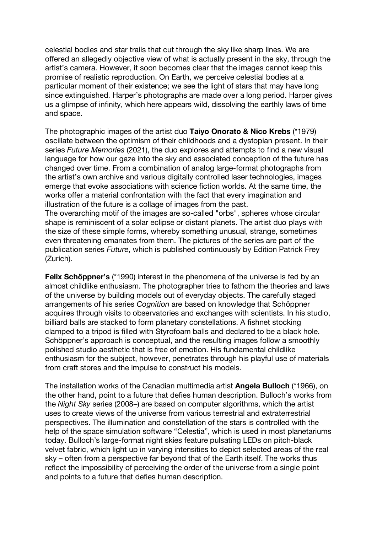celestial bodies and star trails that cut through the sky like sharp lines. We are offered an allegedly objective view of what is actually present in the sky, through the artist's camera. However, it soon becomes clear that the images cannot keep this promise of realistic reproduction. On Earth, we perceive celestial bodies at a particular moment of their existence; we see the light of stars that may have long since extinguished. Harper's photographs are made over a long period. Harper gives us a glimpse of infinity, which here appears wild, dissolving the earthly laws of time and space.

The photographic images of the artist duo **Taiyo Onorato & Nico Krebs** (\*1979) oscillate between the optimism of their childhoods and a dystopian present. In their series *Future Memories* (2021), the duo explores and attempts to find a new visual language for how our gaze into the sky and associated conception of the future has changed over time. From a combination of analog large-format photographs from the artist's own archive and various digitally controlled laser technologies, images emerge that evoke associations with science fiction worlds. At the same time, the works offer a material confrontation with the fact that every imagination and illustration of the future is a collage of images from the past.

The overarching motif of the images are so-called "orbs", spheres whose circular shape is reminiscent of a solar eclipse or distant planets. The artist duo plays with the size of these simple forms, whereby something unusual, strange, sometimes even threatening emanates from them. The pictures of the series are part of the publication series *Future*, which is published continuously by Edition Patrick Frey (Zurich).

**Felix Schöppner's** (\*1990) interest in the phenomena of the universe is fed by an almost childlike enthusiasm. The photographer tries to fathom the theories and laws of the universe by building models out of everyday objects. The carefully staged arrangements of his series *Cognition* are based on knowledge that Schöppner acquires through visits to observatories and exchanges with scientists. In his studio, billiard balls are stacked to form planetary constellations. A fishnet stocking clamped to a tripod is filled with Styrofoam balls and declared to be a black hole. Schöppner's approach is conceptual, and the resulting images follow a smoothly polished studio aesthetic that is free of emotion. His fundamental childlike enthusiasm for the subject, however, penetrates through his playful use of materials from craft stores and the impulse to construct his models.

The installation works of the Canadian multimedia artist **Angela Bulloch** (\*1966), on the other hand, point to a future that defies human description. Bulloch's works from the *Night Sky* series (2008–) are based on computer algorithms, which the artist uses to create views of the universe from various terrestrial and extraterrestrial perspectives. The illumination and constellation of the stars is controlled with the help of the space simulation software "Celestia", which is used in most planetariums today. Bulloch's large-format night skies feature pulsating LEDs on pitch-black velvet fabric, which light up in varying intensities to depict selected areas of the real sky – often from a perspective far beyond that of the Earth itself. The works thus reflect the impossibility of perceiving the order of the universe from a single point and points to a future that defies human description.